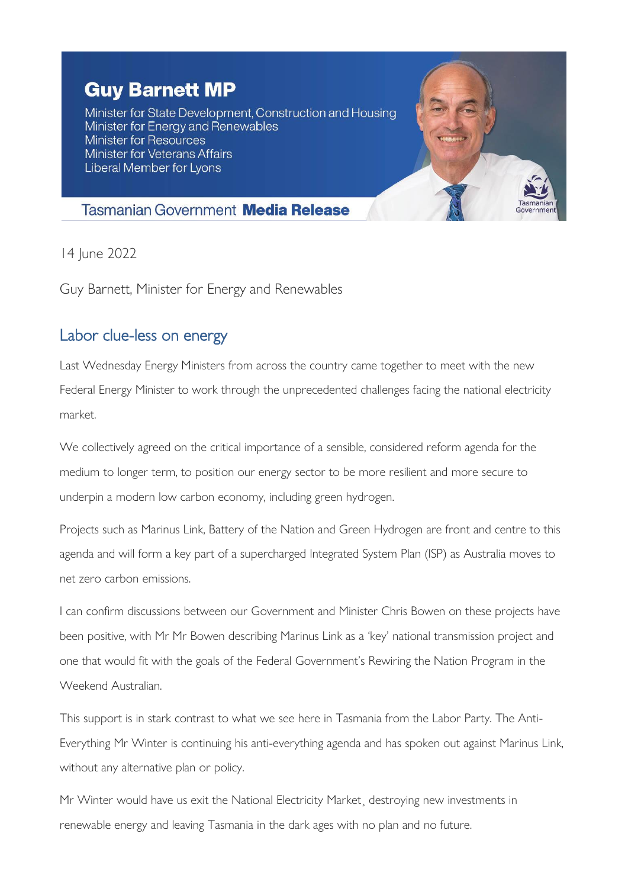## **Guy Barnett MP**

Minister for State Development, Construction and Housing Minister for Energy and Renewables **Minister for Resources Minister for Veterans Affairs** Liberal Member for Lyons



## **Tasmanian Government Media Release**

14 June 2022

Guy Barnett, Minister for Energy and Renewables

## Labor clue-less on energy

Last Wednesday Energy Ministers from across the country came together to meet with the new Federal Energy Minister to work through the unprecedented challenges facing the national electricity market.

We collectively agreed on the critical importance of a sensible, considered reform agenda for the medium to longer term, to position our energy sector to be more resilient and more secure to underpin a modern low carbon economy, including green hydrogen.

Projects such as Marinus Link, Battery of the Nation and Green Hydrogen are front and centre to this agenda and will form a key part of a supercharged Integrated System Plan (ISP) as Australia moves to net zero carbon emissions.

I can confirm discussions between our Government and Minister Chris Bowen on these projects have been positive, with Mr Mr Bowen describing Marinus Link as a 'key' national transmission project and one that would fit with the goals of the Federal Government's Rewiring the Nation Program in the Weekend Australian.

This support is in stark contrast to what we see here in Tasmania from the Labor Party. The Anti-Everything Mr Winter is continuing his anti-everything agenda and has spoken out against Marinus Link, without any alternative plan or policy.

Mr Winter would have us exit the National Electricity Market¸ destroying new investments in renewable energy and leaving Tasmania in the dark ages with no plan and no future.